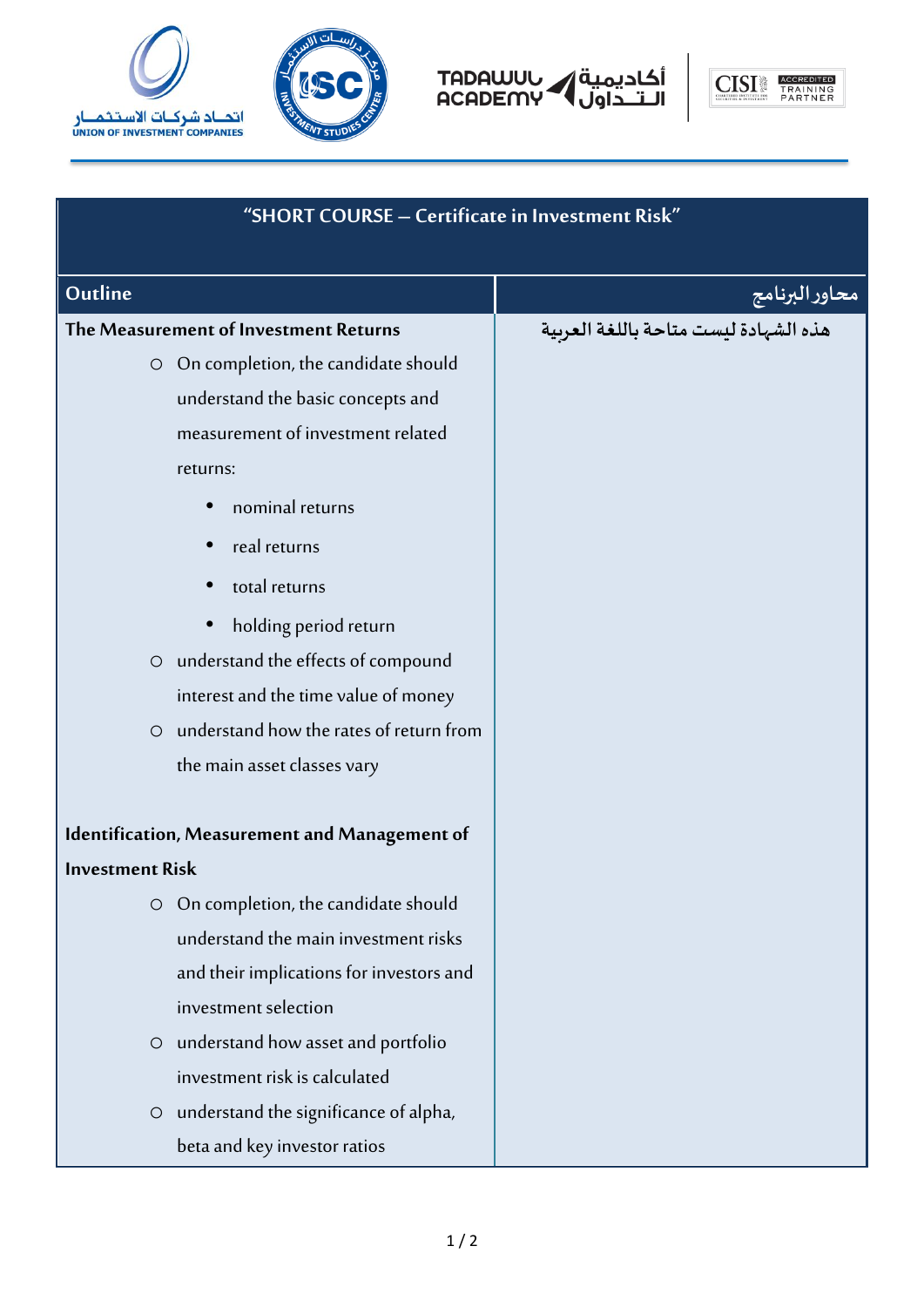







| "SHORT COURSE - Certificate in Investment Risk"    |                |
|----------------------------------------------------|----------------|
| Outline                                            | محاور البرنامج |
| The Measurement of Investment Returns              |                |
| O On completion, the candidate should              |                |
| understand the basic concepts and                  |                |
| measurement of investment related                  |                |
| returns:                                           |                |
| nominal returns                                    |                |
| real returns                                       |                |
| total returns                                      |                |
| holding period return                              |                |
| understand the effects of compound<br>$\circ$      |                |
| interest and the time value of money               |                |
| understand how the rates of return from<br>$\circ$ |                |
| the main asset classes vary                        |                |
| Identification, Measurement and Management of      |                |
| <b>Investment Risk</b>                             |                |
| On completion, the candidate should                |                |
| understand the main investment risks               |                |
| and their implications for investors and           |                |
| investment selection                               |                |
| understand how asset and portfolio<br>$\circ$      |                |
| investment risk is calculated                      |                |
| understand the significance of alpha,<br>$\circ$   |                |
| beta and key investor ratios                       |                |